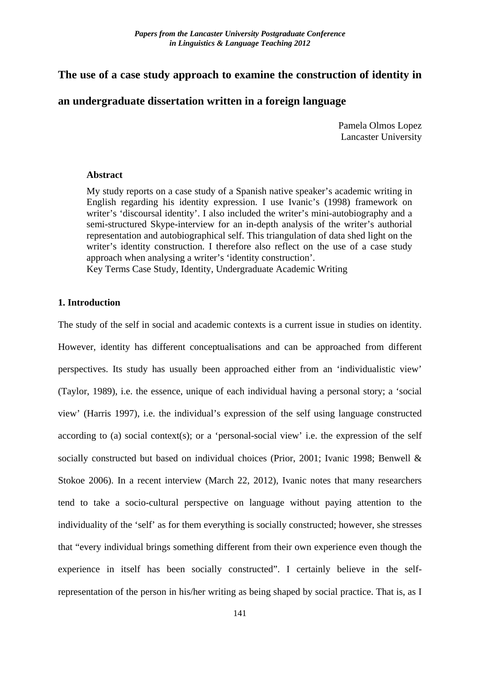# **The use of a case study approach to examine the construction of identity in**

# **an undergraduate dissertation written in a foreign language**

Pamela Olmos Lopez Lancaster University

## **Abstract**

My study reports on a case study of a Spanish native speaker's academic writing in English regarding his identity expression. I use Ivanic's (1998) framework on writer's 'discoursal identity'. I also included the writer's mini-autobiography and a semi-structured Skype-interview for an in-depth analysis of the writer's authorial representation and autobiographical self. This triangulation of data shed light on the writer's identity construction. I therefore also reflect on the use of a case study approach when analysing a writer's 'identity construction'. Key Terms Case Study, Identity, Undergraduate Academic Writing

# **1. Introduction**

141 The study of the self in social and academic contexts is a current issue in studies on identity. However, identity has different conceptualisations and can be approached from different perspectives. Its study has usually been approached either from an 'individualistic view' (Taylor, 1989), i.e. the essence, unique of each individual having a personal story; a 'social view' (Harris 1997), i.e. the individual's expression of the self using language constructed according to (a) social context(s); or a 'personal-social view' i.e. the expression of the self socially constructed but based on individual choices (Prior, 2001; Ivanic 1998; Benwell & Stokoe 2006). In a recent interview (March 22, 2012), Ivanic notes that many researchers tend to take a socio-cultural perspective on language without paying attention to the individuality of the 'self' as for them everything is socially constructed; however, she stresses that "every individual brings something different from their own experience even though the experience in itself has been socially constructed". I certainly believe in the selfrepresentation of the person in his/her writing as being shaped by social practice. That is, as I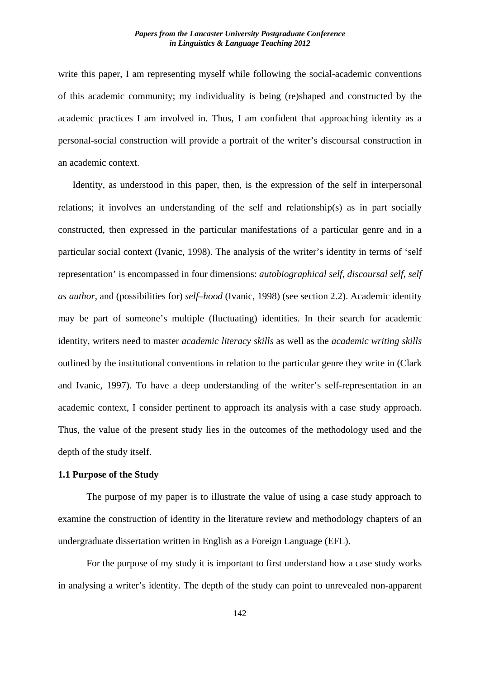write this paper, I am representing myself while following the social-academic conventions of this academic community; my individuality is being (re)shaped and constructed by the academic practices I am involved in. Thus, I am confident that approaching identity as a personal-social construction will provide a portrait of the writer's discoursal construction in an academic context.

Identity, as understood in this paper, then, is the expression of the self in interpersonal relations; it involves an understanding of the self and relationship(s) as in part socially constructed, then expressed in the particular manifestations of a particular genre and in a particular social context (Ivanic, 1998). The analysis of the writer's identity in terms of 'self representation' is encompassed in four dimensions: *autobiographical self*, *discoursal self, self as author*, and (possibilities for) *self–hood* (Ivanic, 1998) (see section 2.2). Academic identity may be part of someone's multiple (fluctuating) identities. In their search for academic identity, writers need to master *academic literacy skills* as well as the *academic writing skills* outlined by the institutional conventions in relation to the particular genre they write in (Clark and Ivanic, 1997). To have a deep understanding of the writer's self-representation in an academic context, I consider pertinent to approach its analysis with a case study approach. Thus, the value of the present study lies in the outcomes of the methodology used and the depth of the study itself.

## **1.1 Purpose of the Study**

The purpose of my paper is to illustrate the value of using a case study approach to examine the construction of identity in the literature review and methodology chapters of an undergraduate dissertation written in English as a Foreign Language (EFL).

For the purpose of my study it is important to first understand how a case study works in analysing a writer's identity. The depth of the study can point to unrevealed non-apparent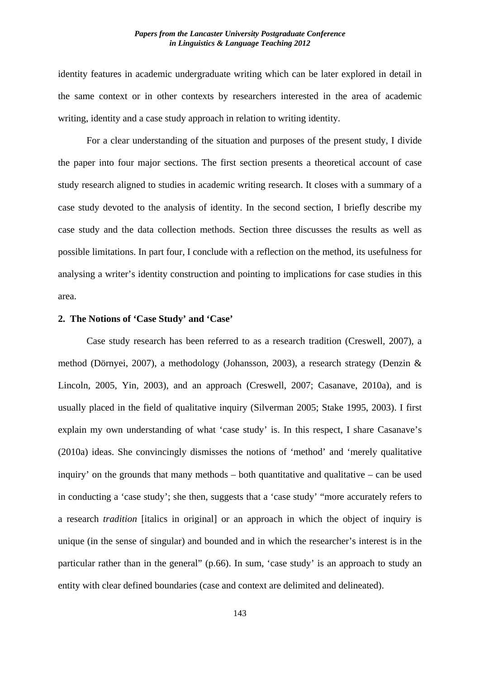identity features in academic undergraduate writing which can be later explored in detail in the same context or in other contexts by researchers interested in the area of academic writing, identity and a case study approach in relation to writing identity.

For a clear understanding of the situation and purposes of the present study, I divide the paper into four major sections. The first section presents a theoretical account of case study research aligned to studies in academic writing research. It closes with a summary of a case study devoted to the analysis of identity. In the second section, I briefly describe my case study and the data collection methods. Section three discusses the results as well as possible limitations. In part four, I conclude with a reflection on the method, its usefulness for analysing a writer's identity construction and pointing to implications for case studies in this area.

## **2. The Notions of 'Case Study' and 'Case'**

Case study research has been referred to as a research tradition (Creswell, 2007), a method (Dörnyei, 2007), a methodology (Johansson, 2003), a research strategy (Denzin & Lincoln, 2005, Yin, 2003), and an approach (Creswell, 2007; Casanave, 2010a), and is usually placed in the field of qualitative inquiry (Silverman 2005; Stake 1995, 2003). I first explain my own understanding of what 'case study' is. In this respect, I share Casanave's (2010a) ideas. She convincingly dismisses the notions of 'method' and 'merely qualitative inquiry' on the grounds that many methods – both quantitative and qualitative – can be used in conducting a 'case study'; she then, suggests that a 'case study' "more accurately refers to a research *tradition* [italics in original] or an approach in which the object of inquiry is unique (in the sense of singular) and bounded and in which the researcher's interest is in the particular rather than in the general" (p.66). In sum, 'case study' is an approach to study an entity with clear defined boundaries (case and context are delimited and delineated).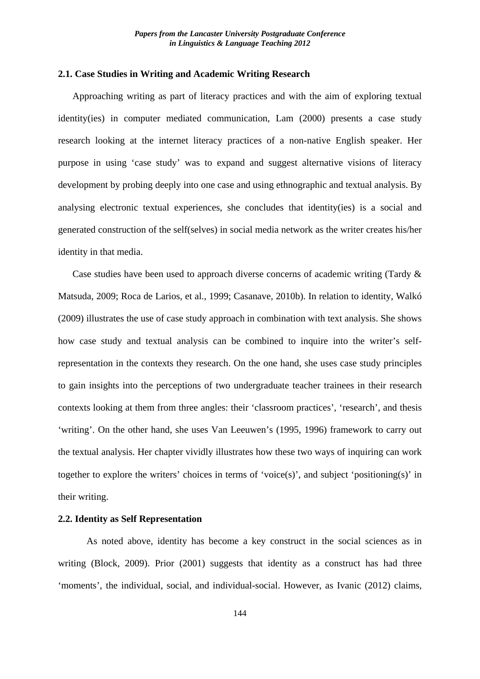## **2.1. Case Studies in Writing and Academic Writing Research**

Approaching writing as part of literacy practices and with the aim of exploring textual identity(ies) in computer mediated communication, Lam (2000) presents a case study research looking at the internet literacy practices of a non-native English speaker. Her purpose in using 'case study' was to expand and suggest alternative visions of literacy development by probing deeply into one case and using ethnographic and textual analysis. By analysing electronic textual experiences, she concludes that identity(ies) is a social and generated construction of the self(selves) in social media network as the writer creates his/her identity in that media.

Case studies have been used to approach diverse concerns of academic writing (Tardy & Matsuda, 2009; Roca de Larios, et al., 1999; Casanave, 2010b). In relation to identity, Walkó (2009) illustrates the use of case study approach in combination with text analysis. She shows how case study and textual analysis can be combined to inquire into the writer's selfrepresentation in the contexts they research. On the one hand, she uses case study principles to gain insights into the perceptions of two undergraduate teacher trainees in their research contexts looking at them from three angles: their 'classroom practices', 'research', and thesis 'writing'. On the other hand, she uses Van Leeuwen's (1995, 1996) framework to carry out the textual analysis. Her chapter vividly illustrates how these two ways of inquiring can work together to explore the writers' choices in terms of 'voice(s)', and subject 'positioning(s)' in their writing.

# **2.2. Identity as Self Representation**

As noted above, identity has become a key construct in the social sciences as in writing (Block, 2009). Prior (2001) suggests that identity as a construct has had three 'moments', the individual, social, and individual-social. However, as Ivanic (2012) claims,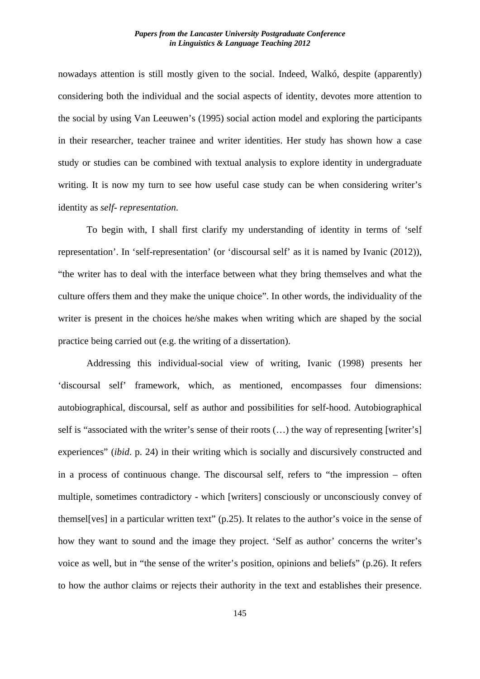nowadays attention is still mostly given to the social. Indeed, Walkó, despite (apparently) considering both the individual and the social aspects of identity, devotes more attention to the social by using Van Leeuwen's (1995) social action model and exploring the participants in their researcher, teacher trainee and writer identities. Her study has shown how a case study or studies can be combined with textual analysis to explore identity in undergraduate writing. It is now my turn to see how useful case study can be when considering writer's identity as *self- representation*.

To begin with, I shall first clarify my understanding of identity in terms of 'self representation'. In 'self-representation' (or 'discoursal self' as it is named by Ivanic (2012)), "the writer has to deal with the interface between what they bring themselves and what the culture offers them and they make the unique choice". In other words, the individuality of the writer is present in the choices he/she makes when writing which are shaped by the social practice being carried out (e.g. the writing of a dissertation).

Addressing this individual-social view of writing, Ivanic (1998) presents her 'discoursal self' framework, which, as mentioned, encompasses four dimensions: autobiographical, discoursal, self as author and possibilities for self-hood. Autobiographical self is "associated with the writer's sense of their roots (…) the way of representing [writer's] experiences" (*ibid*. p. 24) in their writing which is socially and discursively constructed and in a process of continuous change. The discoursal self, refers to "the impression – often multiple, sometimes contradictory - which [writers] consciously or unconsciously convey of themsel[ves] in a particular written text" (p.25). It relates to the author's voice in the sense of how they want to sound and the image they project. 'Self as author' concerns the writer's voice as well, but in "the sense of the writer's position, opinions and beliefs" (p.26). It refers to how the author claims or rejects their authority in the text and establishes their presence.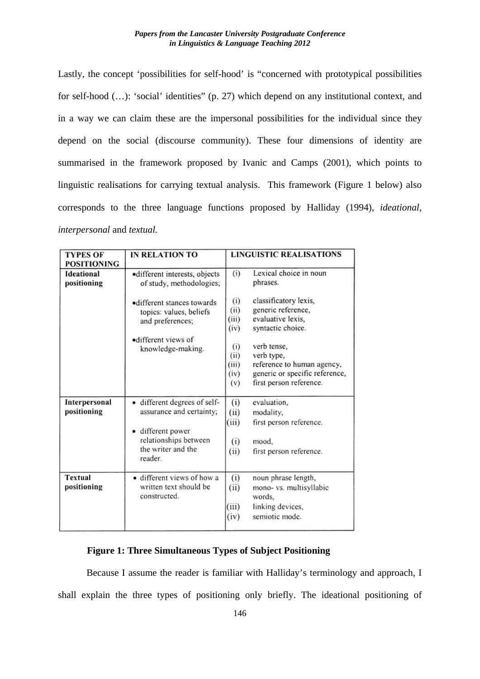Lastly, the concept 'possibilities for self-hood' is "concerned with prototypical possibilities for self-hood  $(...)$ : 'social' identities" (p. 27) which depend on any institutional context, and in a way we can claim these are the impersonal possibilities for the individual since they depend on the social (discourse community). These four dimensions of identity are summarised in the framework proposed by Ivanic and Camps (2001), which points to linguistic realisations for carrying textual analysis. This framework (Figure 1 below) also corresponds to the three language functions proposed by Halliday (1994), *ideational*, *interpersonal* and *textual.*

| <b>TYPES OF</b><br><b>POSITIONING</b> | <b>IN RELATION TO</b>                                                       | <b>LINGUISTIC REALISATIONS</b>      |                                                                                                                      |
|---------------------------------------|-----------------------------------------------------------------------------|-------------------------------------|----------------------------------------------------------------------------------------------------------------------|
| Ideational<br>positioning             | ·different interests, objects<br>of study, methodologies;                   | (i)                                 | Lexical choice in noun<br>phrases.                                                                                   |
|                                       | •different stances towards<br>topics: values, beliefs<br>and preferences;   | (i)<br>(ii)<br>(iii)<br>(iv)        | classificatory lexis,<br>generic reference,<br>evaluative lexis,<br>syntactic choice.                                |
|                                       | ·different views of<br>knowledge-making.                                    | (i)<br>(ii)<br>(iii)<br>(iv)<br>(v) | verb tense,<br>verb type,<br>reference to human agency,<br>generic or specific reference,<br>first person reference. |
| Interpersonal<br>positioning          | · different degrees of self-<br>assurance and certainty;                    | (i)<br>(ii)<br>(iii)                | evaluation,<br>modality,<br>first person reference.                                                                  |
|                                       | · different power<br>relationships between<br>the writer and the<br>reader. | (i)<br>(ii)                         | mood,<br>first person reference.                                                                                     |
| <b>Textual</b><br>positioning         | · different views of how a<br>written text should be<br>constructed.        | (i)<br>(ii)<br>(iii)<br>(iv)        | noun phrase length,<br>mono- vs. multisyllabic<br>words.<br>linking devices,<br>semiotic mode.                       |

## **Figure 1: Three Simultaneous Types of Subject Positioning**

Because I assume the reader is familiar with Halliday's terminology and approach, I shall explain the three types of positioning only briefly. The ideational positioning of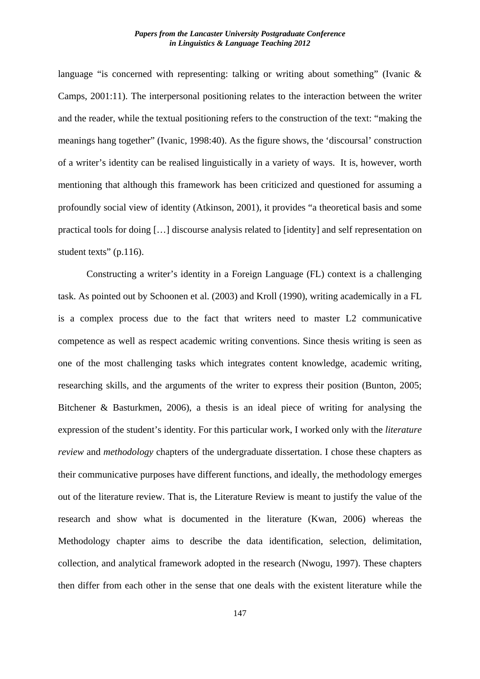language "is concerned with representing: talking or writing about something" (Ivanic & Camps, 2001:11). The interpersonal positioning relates to the interaction between the writer and the reader, while the textual positioning refers to the construction of the text: "making the meanings hang together" (Ivanic, 1998:40). As the figure shows, the 'discoursal' construction of a writer's identity can be realised linguistically in a variety of ways. It is, however, worth mentioning that although this framework has been criticized and questioned for assuming a profoundly social view of identity (Atkinson, 2001), it provides "a theoretical basis and some practical tools for doing […] discourse analysis related to [identity] and self representation on student texts" (p.116).

Constructing a writer's identity in a Foreign Language (FL) context is a challenging task. As pointed out by Schoonen et al. (2003) and Kroll (1990), writing academically in a FL is a complex process due to the fact that writers need to master L2 communicative competence as well as respect academic writing conventions. Since thesis writing is seen as one of the most challenging tasks which integrates content knowledge, academic writing, researching skills, and the arguments of the writer to express their position (Bunton, 2005; Bitchener & Basturkmen, 2006), a thesis is an ideal piece of writing for analysing the expression of the student's identity. For this particular work, I worked only with the *literature review* and *methodology* chapters of the undergraduate dissertation. I chose these chapters as their communicative purposes have different functions, and ideally, the methodology emerges out of the literature review. That is, the Literature Review is meant to justify the value of the research and show what is documented in the literature (Kwan, 2006) whereas the Methodology chapter aims to describe the data identification, selection, delimitation, collection, and analytical framework adopted in the research (Nwogu, 1997). These chapters then differ from each other in the sense that one deals with the existent literature while the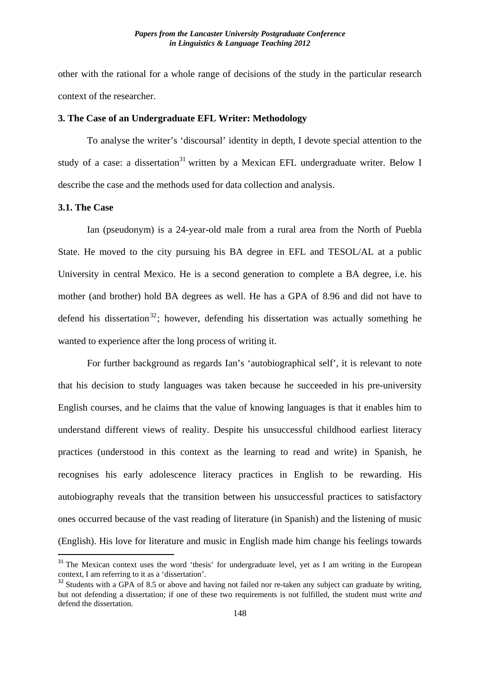other with the rational for a whole range of decisions of the study in the particular research context of the researcher.

## **3. The Case of an Undergraduate EFL Writer: Methodology**

To analyse the writer's 'discoursal' identity in depth, I devote special attention to the study of a case: a dissertation<sup>31</sup> written by a Mexican EFL undergraduate writer. Below I describe the case and the methods used for data collection and analysis.

## **3.1. The Case**

Ian (pseudonym) is a 24-year-old male from a rural area from the North of Puebla State. He moved to the city pursuing his BA degree in EFL and TESOL/AL at a public University in central Mexico. He is a second generation to complete a BA degree, i.e. his mother (and brother) hold BA degrees as well. He has a GPA of 8.96 and did not have to defend his dissertation<sup>32</sup>; however, defending his dissertation was actually something he wanted to experience after the long process of writing it.

For further background as regards Ian's 'autobiographical self', it is relevant to note that his decision to study languages was taken because he succeeded in his pre-university English courses, and he claims that the value of knowing languages is that it enables him to understand different views of reality. Despite his unsuccessful childhood earliest literacy practices (understood in this context as the learning to read and write) in Spanish, he recognises his early adolescence literacy practices in English to be rewarding. His autobiography reveals that the transition between his unsuccessful practices to satisfactory ones occurred because of the vast reading of literature (in Spanish) and the listening of music (English). His love for literature and music in English made him change his feelings towards

<sup>&</sup>lt;sup>31</sup> The Mexican context uses the word 'thesis' for undergraduate level, yet as I am writing in the European context, I am referring to it as a 'dissertation'.

<sup>&</sup>lt;sup>32</sup> Students with a GPA of 8.5 or above and having not failed nor re-taken any subject can graduate by writing, but not defending a dissertation; if one of these two requirements is not fulfilled, the student must write *and* defend the dissertation.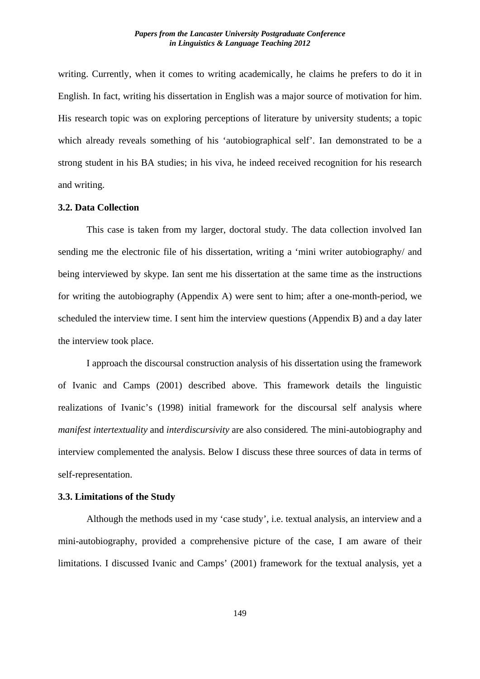writing. Currently, when it comes to writing academically, he claims he prefers to do it in English. In fact, writing his dissertation in English was a major source of motivation for him. His research topic was on exploring perceptions of literature by university students; a topic which already reveals something of his 'autobiographical self'. Ian demonstrated to be a strong student in his BA studies; in his viva, he indeed received recognition for his research and writing.

# **3.2. Data Collection**

This case is taken from my larger, doctoral study. The data collection involved Ian sending me the electronic file of his dissertation, writing a 'mini writer autobiography/ and being interviewed by skype. Ian sent me his dissertation at the same time as the instructions for writing the autobiography (Appendix A) were sent to him; after a one-month-period, we scheduled the interview time. I sent him the interview questions (Appendix B) and a day later the interview took place.

I approach the discoursal construction analysis of his dissertation using the framework of Ivanic and Camps (2001) described above. This framework details the linguistic realizations of Ivanic's (1998) initial framework for the discoursal self analysis where *manifest intertextuality* and *interdiscursivity* are also considered*.* The mini-autobiography and interview complemented the analysis. Below I discuss these three sources of data in terms of self-representation.

## **3.3. Limitations of the Study**

Although the methods used in my 'case study', i.e. textual analysis, an interview and a mini-autobiography, provided a comprehensive picture of the case, I am aware of their limitations. I discussed Ivanic and Camps' (2001) framework for the textual analysis, yet a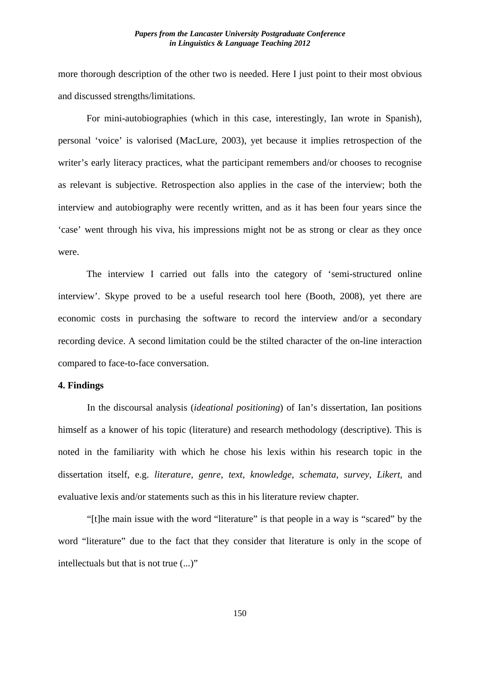more thorough description of the other two is needed. Here I just point to their most obvious and discussed strengths/limitations.

For mini-autobiographies (which in this case, interestingly, Ian wrote in Spanish), personal 'voice' is valorised (MacLure, 2003), yet because it implies retrospection of the writer's early literacy practices, what the participant remembers and/or chooses to recognise as relevant is subjective. Retrospection also applies in the case of the interview; both the interview and autobiography were recently written, and as it has been four years since the 'case' went through his viva, his impressions might not be as strong or clear as they once were.

The interview I carried out falls into the category of 'semi-structured online interview'. Skype proved to be a useful research tool here (Booth, 2008), yet there are economic costs in purchasing the software to record the interview and/or a secondary recording device. A second limitation could be the stilted character of the on-line interaction compared to face-to-face conversation.

# **4. Findings**

In the discoursal analysis (*ideational positioning*) of Ian's dissertation, Ian positions himself as a knower of his topic (literature) and research methodology (descriptive). This is noted in the familiarity with which he chose his lexis within his research topic in the dissertation itself, e.g. *literature, genre, text, knowledge, schemata, survey, Likert,* and evaluative lexis and/or statements such as this in his literature review chapter.

"[t]he main issue with the word "literature" is that people in a way is "scared" by the word "literature" due to the fact that they consider that literature is only in the scope of intellectuals but that is not true (...)"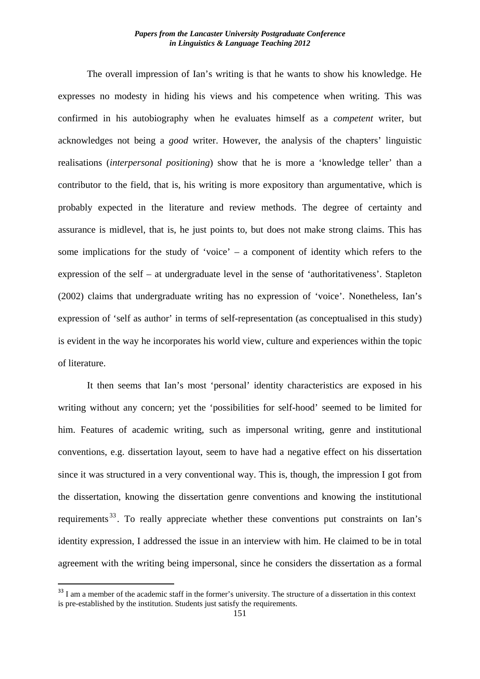The overall impression of Ian's writing is that he wants to show his knowledge. He expresses no modesty in hiding his views and his competence when writing. This was confirmed in his autobiography when he evaluates himself as a *competent* writer, but acknowledges not being a *good* writer. However, the analysis of the chapters' linguistic realisations (*interpersonal positioning*) show that he is more a 'knowledge teller' than a contributor to the field, that is, his writing is more expository than argumentative, which is probably expected in the literature and review methods. The degree of certainty and assurance is midlevel, that is, he just points to, but does not make strong claims. This has some implications for the study of 'voice' – a component of identity which refers to the expression of the self – at undergraduate level in the sense of 'authoritativeness'. Stapleton (2002) claims that undergraduate writing has no expression of 'voice'. Nonetheless, Ian's expression of 'self as author' in terms of self-representation (as conceptualised in this study) is evident in the way he incorporates his world view, culture and experiences within the topic of literature.

It then seems that Ian's most 'personal' identity characteristics are exposed in his writing without any concern; yet the 'possibilities for self-hood' seemed to be limited for him. Features of academic writing, such as impersonal writing, genre and institutional conventions, e.g. dissertation layout, seem to have had a negative effect on his dissertation since it was structured in a very conventional way. This is, though, the impression I got from the dissertation, knowing the dissertation genre conventions and knowing the institutional requirements<sup>33</sup>. To really appreciate whether these conventions put constraints on Ian's identity expression, I addressed the issue in an interview with him. He claimed to be in total agreement with the writing being impersonal, since he considers the dissertation as a formal

<sup>&</sup>lt;sup>33</sup> I am a member of the academic staff in the former's university. The structure of a dissertation in this context is pre-established by the institution. Students just satisfy the requirements.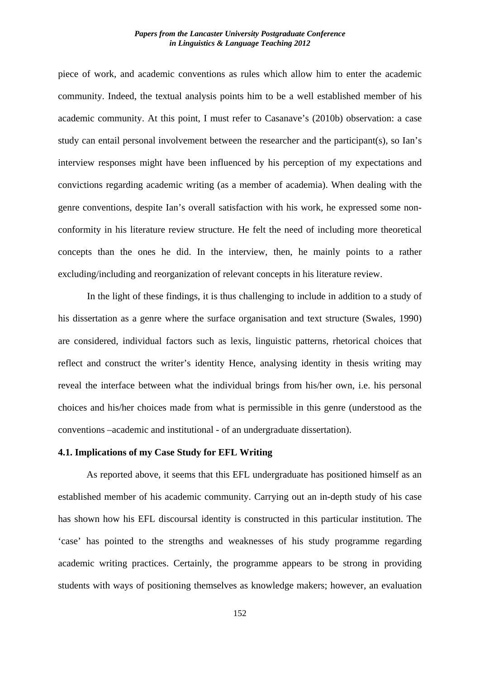piece of work, and academic conventions as rules which allow him to enter the academic community. Indeed, the textual analysis points him to be a well established member of his academic community. At this point, I must refer to Casanave's (2010b) observation: a case study can entail personal involvement between the researcher and the participant(s), so Ian's interview responses might have been influenced by his perception of my expectations and convictions regarding academic writing (as a member of academia). When dealing with the genre conventions, despite Ian's overall satisfaction with his work, he expressed some nonconformity in his literature review structure. He felt the need of including more theoretical concepts than the ones he did. In the interview, then, he mainly points to a rather excluding/including and reorganization of relevant concepts in his literature review.

In the light of these findings, it is thus challenging to include in addition to a study of his dissertation as a genre where the surface organisation and text structure (Swales, 1990) are considered, individual factors such as lexis, linguistic patterns, rhetorical choices that reflect and construct the writer's identity Hence, analysing identity in thesis writing may reveal the interface between what the individual brings from his/her own, i.e. his personal choices and his/her choices made from what is permissible in this genre (understood as the conventions –academic and institutional - of an undergraduate dissertation).

#### **4.1. Implications of my Case Study for EFL Writing**

As reported above, it seems that this EFL undergraduate has positioned himself as an established member of his academic community. Carrying out an in-depth study of his case has shown how his EFL discoursal identity is constructed in this particular institution. The 'case' has pointed to the strengths and weaknesses of his study programme regarding academic writing practices. Certainly, the programme appears to be strong in providing students with ways of positioning themselves as knowledge makers; however, an evaluation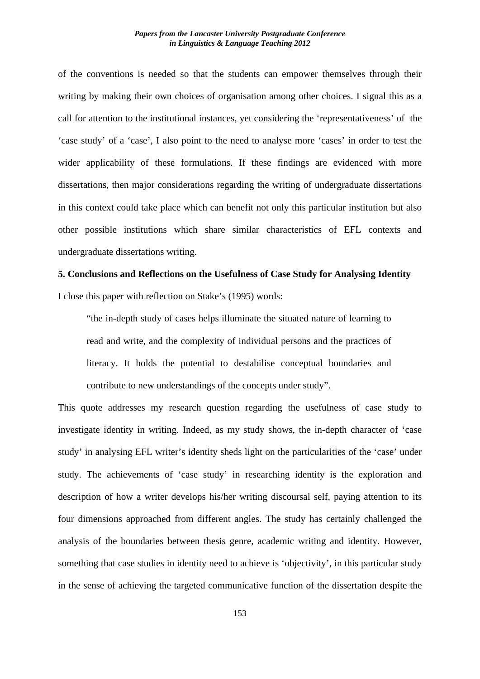of the conventions is needed so that the students can empower themselves through their writing by making their own choices of organisation among other choices. I signal this as a call for attention to the institutional instances, yet considering the 'representativeness' of the 'case study' of a 'case', I also point to the need to analyse more 'cases' in order to test the wider applicability of these formulations. If these findings are evidenced with more dissertations, then major considerations regarding the writing of undergraduate dissertations in this context could take place which can benefit not only this particular institution but also other possible institutions which share similar characteristics of EFL contexts and undergraduate dissertations writing.

# **5. Conclusions and Reflections on the Usefulness of Case Study for Analysing Identity** I close this paper with reflection on Stake's (1995) words:

"the in-depth study of cases helps illuminate the situated nature of learning to read and write, and the complexity of individual persons and the practices of literacy. It holds the potential to destabilise conceptual boundaries and contribute to new understandings of the concepts under study".

This quote addresses my research question regarding the usefulness of case study to investigate identity in writing. Indeed, as my study shows, the in-depth character of 'case study' in analysing EFL writer's identity sheds light on the particularities of the 'case' under study. The achievements of 'case study' in researching identity is the exploration and description of how a writer develops his/her writing discoursal self, paying attention to its four dimensions approached from different angles. The study has certainly challenged the analysis of the boundaries between thesis genre, academic writing and identity. However, something that case studies in identity need to achieve is 'objectivity', in this particular study in the sense of achieving the targeted communicative function of the dissertation despite the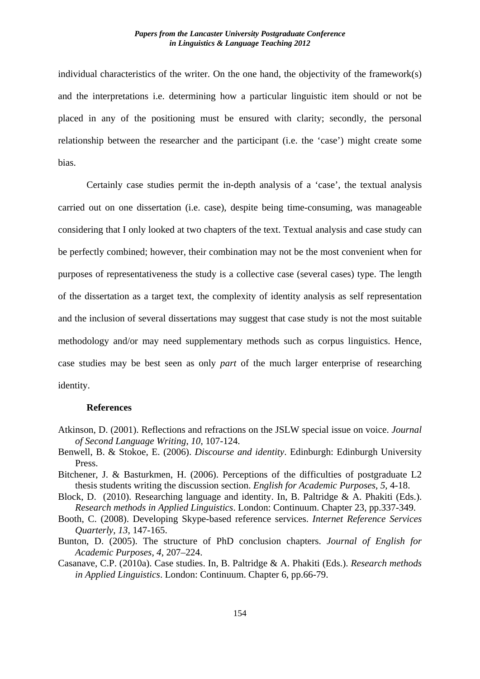individual characteristics of the writer. On the one hand, the objectivity of the framework(s) and the interpretations i.e. determining how a particular linguistic item should or not be placed in any of the positioning must be ensured with clarity; secondly, the personal relationship between the researcher and the participant (i.e. the 'case') might create some bias.

Certainly case studies permit the in-depth analysis of a 'case', the textual analysis carried out on one dissertation (i.e. case), despite being time-consuming, was manageable considering that I only looked at two chapters of the text. Textual analysis and case study can be perfectly combined; however, their combination may not be the most convenient when for purposes of representativeness the study is a collective case (several cases) type. The length of the dissertation as a target text, the complexity of identity analysis as self representation and the inclusion of several dissertations may suggest that case study is not the most suitable methodology and/or may need supplementary methods such as corpus linguistics. Hence, case studies may be best seen as only *part* of the much larger enterprise of researching identity.

## **References**

- Atkinson, D. (2001). Reflections and refractions on the JSLW special issue on voice. *Journal of Second Language Writing*, *10*, 107-124.
- Benwell, B. & Stokoe, E. (2006). *Discourse and identity*. Edinburgh: Edinburgh University Press.
- Bitchener, J. & Basturkmen, H. (2006). Perceptions of the difficulties of postgraduate L2 thesis students writing the discussion section. *English for Academic Purposes*, *5*, 4-18.
- Block, D. (2010). Researching language and identity. In, B. Paltridge & A. Phakiti (Eds.). *Research methods in Applied Linguistics*. London: Continuum. Chapter 23, pp.337-349.
- Booth, C. (2008). Developing Skype-based reference services. *Internet Reference Services Quarterly, 13*, 147-165.
- Bunton, D. (2005). The structure of PhD conclusion chapters. *Journal of English for Academic Purposes*, *4*, 207–224.
- Casanave, C.P. (2010a). Case studies. In, B. Paltridge & A. Phakiti (Eds.). *Research methods in Applied Linguistics*. London: Continuum. Chapter 6, pp.66-79.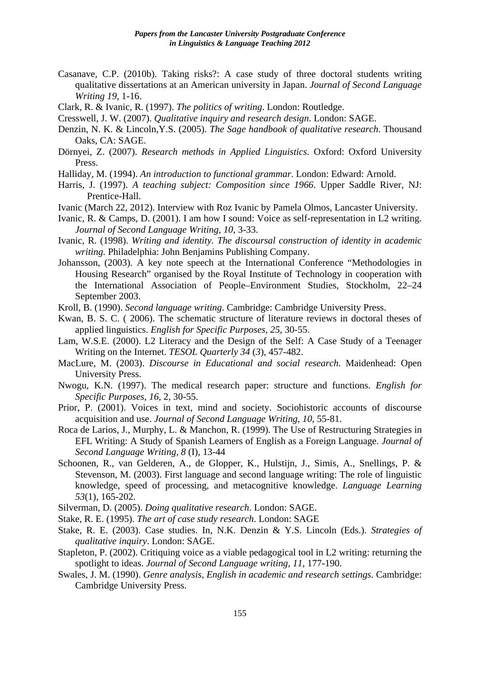- Casanave, C.P. (2010b). Taking risks?: A case study of three doctoral students writing qualitative dissertations at an American university in Japan. *Journal of Second Language Writing 19*, 1-16.
- Clark, R. & Ivanic, R. (1997). *The politics of writing*. London: Routledge.
- Cresswell, J. W. (2007). *Qualitative inquiry and research design*. London: SAGE.
- Denzin, N. K. & Lincoln,Y.S. (2005). *The Sage handbook of qualitative research*. Thousand Oaks, CA: SAGE.
- Dörnyei, Z. (2007). *Research methods in Applied Linguistics*. Oxford: Oxford University Press.
- Halliday, M. (1994). *An introduction to functional grammar*. London: Edward: Arnold.
- Harris, J. (1997). *A teaching subject: Composition since 1966*. Upper Saddle River, NJ: Prentice-Hall.
- Ivanic (March 22, 2012). Interview with Roz Ivanic by Pamela Olmos, Lancaster University.
- Ivanic, R. & Camps, D. (2001). I am how I sound: Voice as self-representation in L2 writing. *Journal of Second Language Writing, 10*, 3-33.
- Ivanic, R. (1998). *Writing and identity. The discoursal construction of identity in academic writing.* Philadelphia: John Benjamins Publishing Company.
- Johansson, (2003). A key note speech at the International Conference "Methodologies in Housing Research" organised by the Royal Institute of Technology in cooperation with the International Association of People–Environment Studies, Stockholm, 22–24 September 2003.
- Kroll, B. (1990). *Second language writing*. Cambridge: Cambridge University Press.
- Kwan, B. S. C. ( 2006). The schematic structure of literature reviews in doctoral theses of applied linguistics. *English for Specific Purposes, 25,* 30-55.
- Lam, W.S.E. (2000). L2 Literacy and the Design of the Self: A Case Study of a Teenager Writing on the Internet. *TESOL Quarterly 34* (*3*), 457-482.
- MacLure, M. (2003). *Discourse in Educational and social research*. Maidenhead: Open University Press.
- Nwogu, K.N. (1997). The medical research paper: structure and functions. *English for Specific Purposes, 16,* 2, 30-55.
- Prior, P. (2001). Voices in text, mind and society. Sociohistoric accounts of discourse acquisition and use. *Journal of Second Language Writing, 10*, 55-81.
- Roca de Larios, J., Murphy, L. & Manchon, R. (1999). The Use of Restructuring Strategies in EFL Writing: A Study of Spanish Learners of English as a Foreign Language. *Journal of Second Language Writing, 8* (I), 13-44
- Schoonen, R., van Gelderen, A., de Glopper, K., Hulstijn, J., Simis, A., Snellings, P. & Stevenson, M. (2003). First language and second language writing: The role of linguistic knowledge, speed of processing, and metacognitive knowledge. *Language Learning 53*(1), 165-202.
- Silverman, D. (2005). *Doing qualitative research*. London: SAGE.
- Stake, R. E. (1995). *The art of case study research*. London: SAGE
- Stake, R. E. (2003). Case studies. In, N.K. Denzin & Y.S. Lincoln (Eds.). *Strategies of qualitative inquiry*. London: SAGE.
- Stapleton, P. (2002). Critiquing voice as a viable pedagogical tool in L2 writing: returning the spotlight to ideas. *Journal of Second Language writing*, *11*, 177-190.
- Swales, J. M. (1990). *Genre analysis, English in academic and research settings.* Cambridge: Cambridge University Press.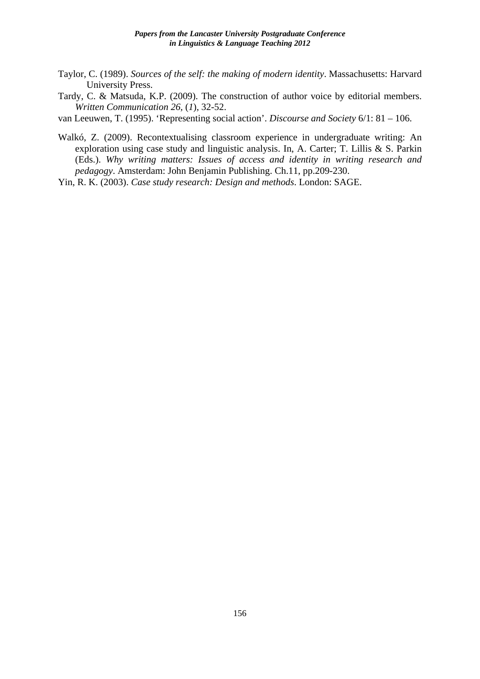- Taylor, C. (1989). *Sources of the self: the making of modern identity*. Massachusetts: Harvard University Press.
- Tardy, C. & Matsuda, K.P. (2009). The construction of author voice by editorial members. *Written Communication 26,* (*1*), 32-52.

van Leeuwen, T. (1995). 'Representing social action'. *Discourse and Society* 6/1: 81 – 106.

- Walkó, Z. (2009). Recontextualising classroom experience in undergraduate writing: An exploration using case study and linguistic analysis. In, A. Carter; T. Lillis & S. Parkin (Eds.). *Why writing matters: Issues of access and identity in writing research and pedagogy*. Amsterdam: John Benjamin Publishing. Ch.11, pp.209-230.
- Yin, R. K. (2003). *Case study research: Design and methods*. London: SAGE.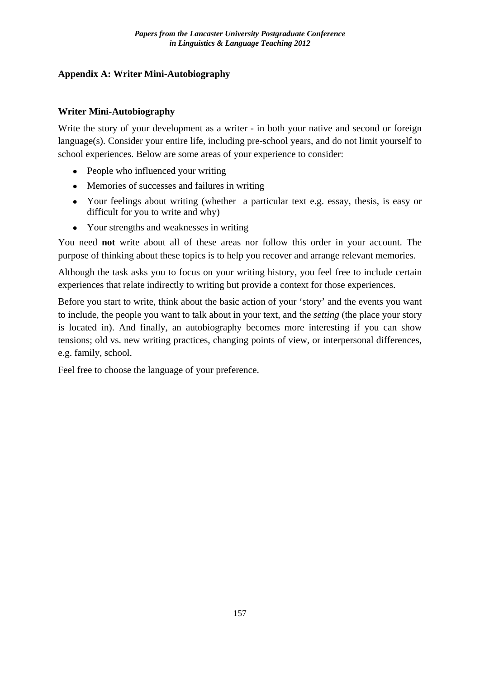# **Appendix A: Writer Mini-Autobiography**

# **Writer Mini-Autobiography**

Write the story of your development as a writer - in both your native and second or foreign language(s). Consider your entire life, including pre-school years, and do not limit yourself to school experiences. Below are some areas of your experience to consider:

- People who influenced your writing
- Memories of successes and failures in writing
- Your feelings about writing (whether a particular text e.g. essay, thesis, is easy or difficult for you to write and why)
- Your strengths and weaknesses in writing

You need **not** write about all of these areas nor follow this order in your account. The purpose of thinking about these topics is to help you recover and arrange relevant memories.

Although the task asks you to focus on your writing history, you feel free to include certain experiences that relate indirectly to writing but provide a context for those experiences.

Before you start to write, think about the basic action of your 'story' and the events you want to include, the people you want to talk about in your text, and the *setting* (the place your story is located in). And finally, an autobiography becomes more interesting if you can show tensions; old vs. new writing practices, changing points of view, or interpersonal differences, e.g. family, school.

Feel free to choose the language of your preference.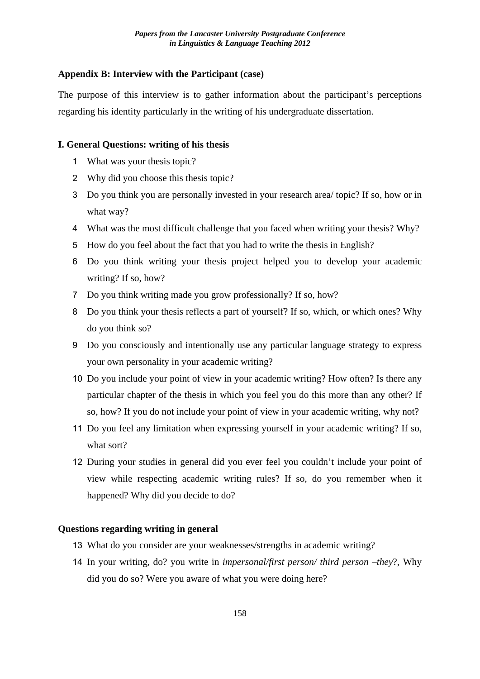# **Appendix B: Interview with the Participant (case)**

The purpose of this interview is to gather information about the participant's perceptions regarding his identity particularly in the writing of his undergraduate dissertation.

# **I. General Questions: writing of his thesis**

- 1 What was your thesis topic?
- 2 Why did you choose this thesis topic?
- 3 Do you think you are personally invested in your research area/ topic? If so, how or in what way?
- 4 What was the most difficult challenge that you faced when writing your thesis? Why?
- 5 How do you feel about the fact that you had to write the thesis in English?
- 6 Do you think writing your thesis project helped you to develop your academic writing? If so, how?
- 7 Do you think writing made you grow professionally? If so, how?
- 8 Do you think your thesis reflects a part of yourself? If so, which, or which ones? Why do you think so?
- 9 Do you consciously and intentionally use any particular language strategy to express your own personality in your academic writing?
- 10 Do you include your point of view in your academic writing? How often? Is there any particular chapter of the thesis in which you feel you do this more than any other? If so, how? If you do not include your point of view in your academic writing, why not?
- 11 Do you feel any limitation when expressing yourself in your academic writing? If so, what sort?
- 12 During your studies in general did you ever feel you couldn't include your point of view while respecting academic writing rules? If so, do you remember when it happened? Why did you decide to do?

# **Questions regarding writing in general**

- 13 What do you consider are your weaknesses/strengths in academic writing?
- 14 In your writing, do? you write in *impersonal/first person/ third person –they*?, Why did you do so? Were you aware of what you were doing here?